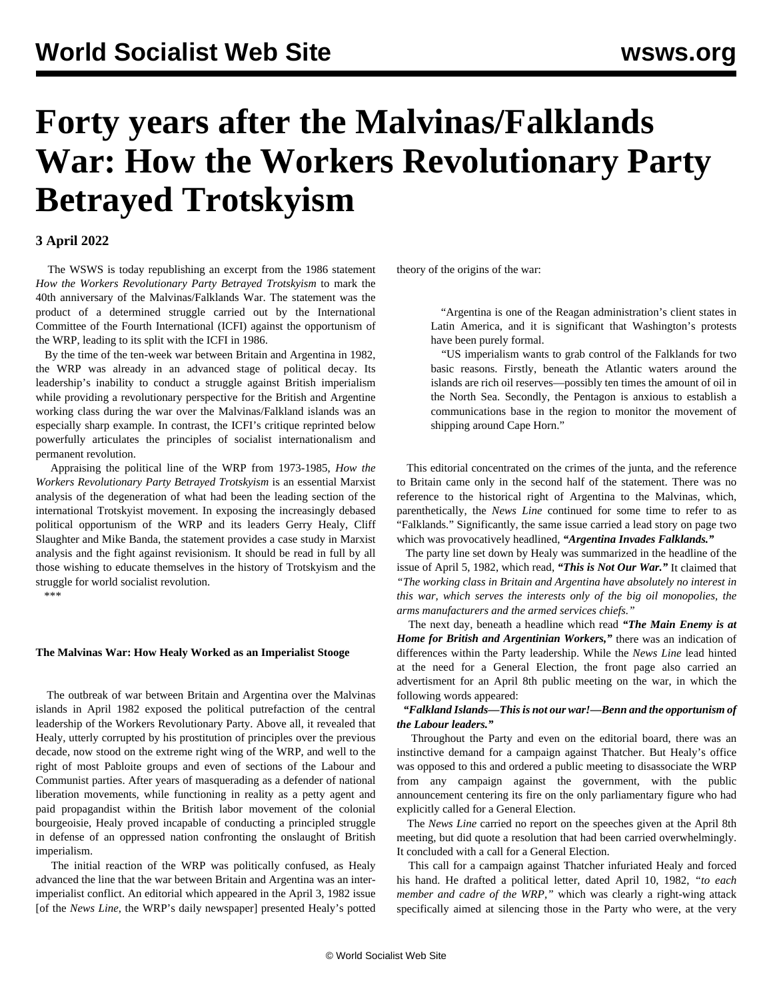# **Forty years after the Malvinas/Falklands War: How the Workers Revolutionary Party Betrayed Trotskyism**

## **3 April 2022**

 The WSWS is today republishing an [excerpt](/en/special/library/how-the-wrp-betrayed-trotskyism/28.html) from the 1986 statement *How the Workers Revolutionary Party Betrayed Trotskyism* to mark the 40th anniversary of the Malvinas/Falklands War. The statement was the product of a determined struggle carried out by the International Committee of the Fourth International (ICFI) against the opportunism of the WRP, leading to its split with the ICFI in 1986.

 By the time of the ten-week war between Britain and Argentina in 1982, the WRP was already in an advanced stage of political decay. Its leadership's inability to conduct a struggle against British imperialism while providing a revolutionary perspective for the British and Argentine working class during the war over the Malvinas/Falkland islands was an especially sharp example. In contrast, the ICFI's critique reprinted below powerfully articulates the principles of socialist internationalism and permanent revolution.

 Appraising the political line of the WRP from 1973-1985, *How the Workers Revolutionary Party Betrayed Trotskyism* is an essential Marxist analysis of the degeneration of what had been the leading section of the international Trotskyist movement. In exposing the increasingly debased political opportunism of the WRP and its leaders Gerry Healy, Cliff Slaughter and Mike Banda, the statement provides a case study in Marxist analysis and the fight against revisionism. It should be read in full by all those wishing to educate themselves in the history of Trotskyism and the struggle for world socialist revolution.

\*\*\*

#### **The Malvinas War: How Healy Worked as an Imperialist Stooge**

 The outbreak of war between Britain and Argentina over the Malvinas islands in April 1982 exposed the political putrefaction of the central leadership of the Workers Revolutionary Party. Above all, it revealed that Healy, utterly corrupted by his prostitution of principles over the previous decade, now stood on the extreme right wing of the WRP, and well to the right of most Pabloite groups and even of sections of the Labour and Communist parties. After years of masquerading as a defender of national liberation movements, while functioning in reality as a petty agent and paid propagandist within the British labor movement of the colonial bourgeoisie, Healy proved incapable of conducting a principled struggle in defense of an oppressed nation confronting the onslaught of British imperialism.

 The initial reaction of the WRP was politically confused, as Healy advanced the line that the war between Britain and Argentina was an interimperialist conflict. An editorial which appeared in the April 3, 1982 issue [of the *News Line*, the WRP's daily newspaper] presented Healy's potted theory of the origins of the war:

 "Argentina is one of the Reagan administration's client states in Latin America, and it is significant that Washington's protests have been purely formal.

 "US imperialism wants to grab control of the Falklands for two basic reasons. Firstly, beneath the Atlantic waters around the islands are rich oil reserves—possibly ten times the amount of oil in the North Sea. Secondly, the Pentagon is anxious to establish a communications base in the region to monitor the movement of shipping around Cape Horn."

 This editorial concentrated on the crimes of the junta, and the reference to Britain came only in the second half of the statement. There was no reference to the historical right of Argentina to the Malvinas, which, parenthetically, the *News Line* continued for some time to refer to as "Falklands." Significantly, the same issue carried a lead story on page two which was provocatively headlined, *"Argentina Invades Falklands."*

 The party line set down by Healy was summarized in the headline of the issue of April 5, 1982, which read, *"This is Not Our War."* It claimed that *"The working class in Britain and Argentina have absolutely no interest in this war, which serves the interests only of the big oil monopolies, the arms manufacturers and the armed services chiefs."*

 The next day, beneath a headline which read *"The Main Enemy is at Home for British and Argentinian Workers,"* there was an indication of differences within the Party leadership. While the *News Line* lead hinted at the need for a General Election, the front page also carried an advertisment for an April 8th public meeting on the war, in which the following words appeared:

### *"Falkland Islands—This is not our war!—Benn and the opportunism of the Labour leaders."*

 Throughout the Party and even on the editorial board, there was an instinctive demand for a campaign against Thatcher. But Healy's office was opposed to this and ordered a public meeting to disassociate the WRP from any campaign against the government, with the public announcement centering its fire on the only parliamentary figure who had explicitly called for a General Election.

 The *News Line* carried no report on the speeches given at the April 8th meeting, but did quote a resolution that had been carried overwhelmingly. It concluded with a call for a General Election.

 This call for a campaign against Thatcher infuriated Healy and forced his hand. He drafted a political letter, dated April 10, 1982, *"to each member and cadre of the WRP,"* which was clearly a right-wing attack specifically aimed at silencing those in the Party who were, at the very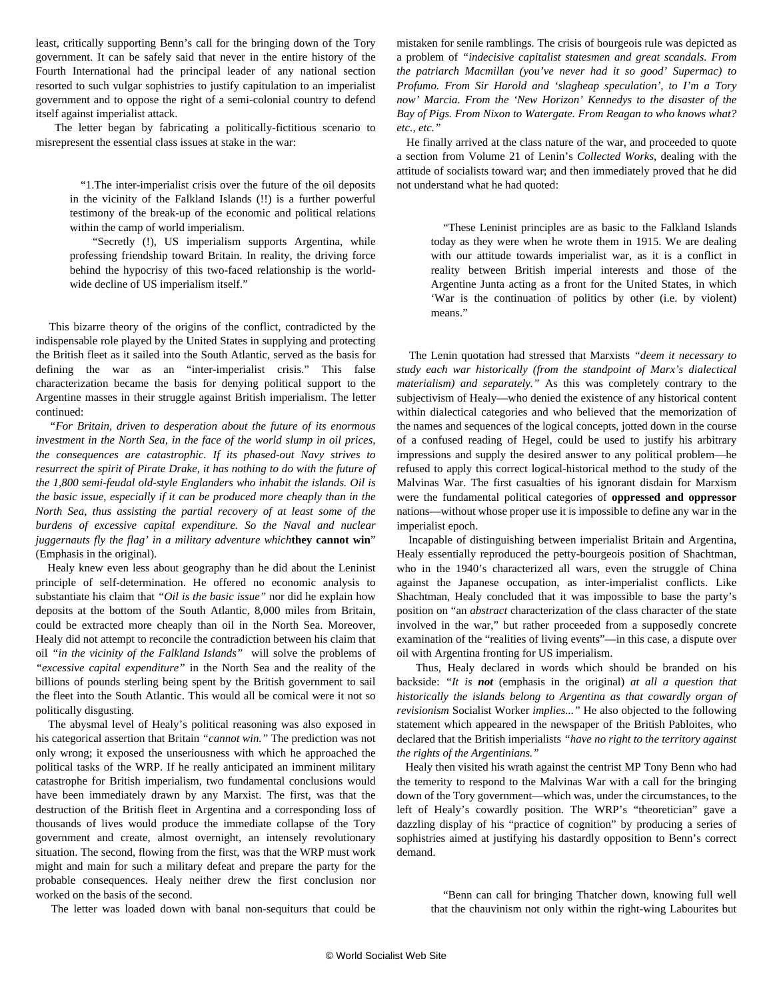least, critically supporting Benn's call for the bringing down of the Tory government. It can be safely said that never in the entire history of the Fourth International had the principal leader of any national section resorted to such vulgar sophistries to justify capitulation to an imperialist government and to oppose the right of a semi-colonial country to defend itself against imperialist attack.

 The letter began by fabricating a politically-fictitious scenario to misrepresent the essential class issues at stake in the war:

 "1.The inter-imperialist crisis over the future of the oil deposits in the vicinity of the Falkland Islands (!!) is a further powerful testimony of the break-up of the economic and political relations within the camp of world imperialism.

 "Secretly (!), US imperialism supports Argentina, while professing friendship toward Britain. In reality, the driving force behind the hypocrisy of this two-faced relationship is the worldwide decline of US imperialism itself."

 This bizarre theory of the origins of the conflict, contradicted by the indispensable role played by the United States in supplying and protecting the British fleet as it sailed into the South Atlantic, served as the basis for defining the war as an "inter-imperialist crisis." This false characterization became the basis for denying political support to the Argentine masses in their struggle against British imperialism. The letter continued:

 *"For Britain, driven to desperation about the future of its enormous investment in the North Sea, in the face of the world slump in oil prices, the consequences are catastrophic. If its phased-out Navy strives to resurrect the spirit of Pirate Drake, it has nothing to do with the future of the 1,800 semi-feudal old-style Englanders who inhabit the islands. Oil is the basic issue, especially if it can be produced more cheaply than in the North Sea, thus assisting the partial recovery of at least some of the burdens of excessive capital expenditure. So the Naval and nuclear juggernauts fly the flag' in a military adventure which***they cannot win**" (Emphasis in the original).

 Healy knew even less about geography than he did about the Leninist principle of self-determination. He offered no economic analysis to substantiate his claim that *"Oil is the basic issue"* nor did he explain how deposits at the bottom of the South Atlantic, 8,000 miles from Britain, could be extracted more cheaply than oil in the North Sea. Moreover, Healy did not attempt to reconcile the contradiction between his claim that oil *"in the vicinity of the Falkland Islands"* will solve the problems of *"excessive capital expenditure"* in the North Sea and the reality of the billions of pounds sterling being spent by the British government to sail the fleet into the South Atlantic. This would all be comical were it not so politically disgusting.

 The abysmal level of Healy's political reasoning was also exposed in his categorical assertion that Britain *"cannot win."* The prediction was not only wrong; it exposed the unseriousness with which he approached the political tasks of the WRP. If he really anticipated an imminent military catastrophe for British imperialism, two fundamental conclusions would have been immediately drawn by any Marxist. The first, was that the destruction of the British fleet in Argentina and a corresponding loss of thousands of lives would produce the immediate collapse of the Tory government and create, almost overnight, an intensely revolutionary situation. The second, flowing from the first, was that the WRP must work might and main for such a military defeat and prepare the party for the probable consequences. Healy neither drew the first conclusion nor worked on the basis of the second.

mistaken for senile ramblings. The crisis of bourgeois rule was depicted as a problem of *"indecisive capitalist statesmen and great scandals. From the patriarch Macmillan (you've never had it so good' Supermac) to Profumo. From Sir Harold and 'slagheap speculation', to I'm a Tory now' Marcia. From the 'New Horizon' Kennedys to the disaster of the Bay of Pigs. From Nixon to Watergate. From Reagan to who knows what? etc., etc."*

 He finally arrived at the class nature of the war, and proceeded to quote a section from Volume 21 of Lenin's *Collected Works*, dealing with the attitude of socialists toward war; and then immediately proved that he did not understand what he had quoted:

 "These Leninist principles are as basic to the Falkland Islands today as they were when he wrote them in 1915. We are dealing with our attitude towards imperialist war, as it is a conflict in reality between British imperial interests and those of the Argentine Junta acting as a front for the United States, in which 'War is the continuation of politics by other (i.e. by violent) means."

 The Lenin quotation had stressed that Marxists *"deem it necessary to study each war historically (from the standpoint of Marx's dialectical materialism) and separately."* As this was completely contrary to the subjectivism of Healy—who denied the existence of any historical content within dialectical categories and who believed that the memorization of the names and sequences of the logical concepts, jotted down in the course of a confused reading of Hegel, could be used to justify his arbitrary impressions and supply the desired answer to any political problem—he refused to apply this correct logical-historical method to the study of the Malvinas War. The first casualties of his ignorant disdain for Marxism were the fundamental political categories of **oppressed and oppressor** nations—without whose proper use it is impossible to define any war in the imperialist epoch.

 Incapable of distinguishing between imperialist Britain and Argentina, Healy essentially reproduced the petty-bourgeois position of Shachtman, who in the 1940's characterized all wars, even the struggle of China against the Japanese occupation, as inter-imperialist conflicts. Like Shachtman, Healy concluded that it was impossible to base the party's position on "an *abstract* characterization of the class character of the state involved in the war," but rather proceeded from a supposedly concrete examination of the "realities of living events"—in this case, a dispute over oil with Argentina fronting for US imperialism.

 Thus, Healy declared in words which should be branded on his backside: *"It is not* (emphasis in the original) *at all a question that historically the islands belong to Argentina as that cowardly organ of revisionism* Socialist Worker *implies..."* He also objected to the following statement which appeared in the newspaper of the British Pabloites, who declared that the British imperialists *"have no right to the territory against the rights of the Argentinians."*

 Healy then visited his wrath against the centrist MP Tony Benn who had the temerity to respond to the Malvinas War with a call for the bringing down of the Tory government—which was, under the circumstances, to the left of Healy's cowardly position. The WRP's "theoretician" gave a dazzling display of his "practice of cognition" by producing a series of sophistries aimed at justifying his dastardly opposition to Benn's correct demand.

 "Benn can call for bringing Thatcher down, knowing full well that the chauvinism not only within the right-wing Labourites but

The letter was loaded down with banal non-sequiturs that could be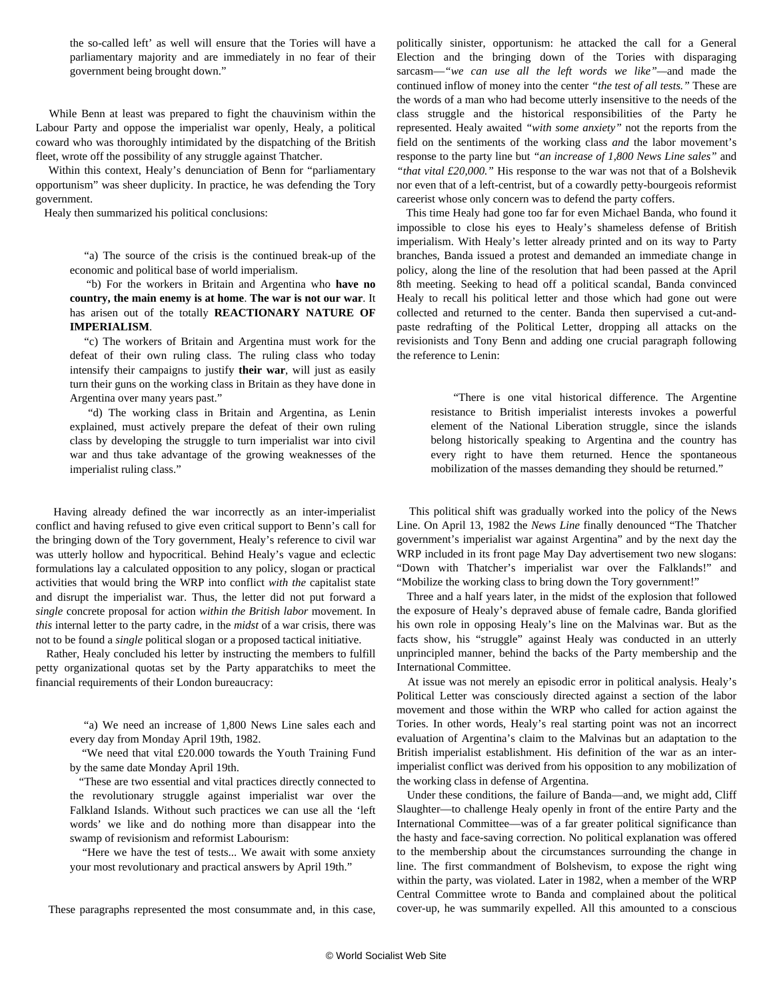the so-called left' as well will ensure that the Tories will have a parliamentary majority and are immediately in no fear of their government being brought down."

 While Benn at least was prepared to fight the chauvinism within the Labour Party and oppose the imperialist war openly, Healy, a political coward who was thoroughly intimidated by the dispatching of the British fleet, wrote off the possibility of any struggle against Thatcher.

 Within this context, Healy's denunciation of Benn for "parliamentary opportunism" was sheer duplicity. In practice, he was defending the Tory government.

Healy then summarized his political conclusions:

 "a) The source of the crisis is the continued break-up of the economic and political base of world imperialism.

 *"*b) For the workers in Britain and Argentina who **have no country, the main enemy is at home**. **The war is not our war**. It has arisen out of the totally **REACTIONARY NATURE OF IMPERIALISM**.

 "c) The workers of Britain and Argentina must work for the defeat of their own ruling class. The ruling class who today intensify their campaigns to justify **their war**, will just as easily turn their guns on the working class in Britain as they have done in Argentina over many years past."

 "d) The working class in Britain and Argentina, as Lenin explained, must actively prepare the defeat of their own ruling class by developing the struggle to turn imperialist war into civil war and thus take advantage of the growing weaknesses of the imperialist ruling class."

 Having already defined the war incorrectly as an inter-imperialist conflict and having refused to give even critical support to Benn's call for the bringing down of the Tory government, Healy's reference to civil war was utterly hollow and hypocritical. Behind Healy's vague and eclectic formulations lay a calculated opposition to any policy, slogan or practical activities that would bring the WRP into conflict *with the* capitalist state and disrupt the imperialist war. Thus, the letter did not put forward a *single* concrete proposal for action *within the British labor* movement. In *this* internal letter to the party cadre, in the *midst* of a war crisis, there was not to be found a *single* political slogan or a proposed tactical initiative.

 Rather, Healy concluded his letter by instructing the members to fulfill petty organizational quotas set by the Party apparatchiks to meet the financial requirements of their London bureaucracy:

 "a) We need an increase of 1,800 News Line sales each and every day from Monday April 19th, 1982.

 "We need that vital £20.000 towards the Youth Training Fund by the same date Monday April 19th.

 "These are two essential and vital practices directly connected to the revolutionary struggle against imperialist war over the Falkland Islands. Without such practices we can use all the 'left words' we like and do nothing more than disappear into the swamp of revisionism and reformist Labourism:

 "Here we have the test of tests... We await with some anxiety your most revolutionary and practical answers by April 19th."

These paragraphs represented the most consummate and, in this case,

politically sinister, opportunism: he attacked the call for a General Election and the bringing down of the Tories with disparaging sarcasm—*"we can use all the left words we like"—*and made the continued inflow of money into the center *"the test of all tests."* These are the words of a man who had become utterly insensitive to the needs of the class struggle and the historical responsibilities of the Party he represented. Healy awaited *"with some anxiety"* not the reports from the field on the sentiments of the working class *and* the labor movement's response to the party line but *"an increase of 1,800 News Line sales"* and *"that vital £20,000."* His response to the war was not that of a Bolshevik nor even that of a left-centrist, but of a cowardly petty-bourgeois reformist careerist whose only concern was to defend the party coffers.

 This time Healy had gone too far for even Michael Banda, who found it impossible to close his eyes to Healy's shameless defense of British imperialism. With Healy's letter already printed and on its way to Party branches, Banda issued a protest and demanded an immediate change in policy, along the line of the resolution that had been passed at the April 8th meeting. Seeking to head off a political scandal, Banda convinced Healy to recall his political letter and those which had gone out were collected and returned to the center. Banda then supervised a cut-andpaste redrafting of the Political Letter, dropping all attacks on the revisionists and Tony Benn and adding one crucial paragraph following the reference to Lenin:

 "There is one vital historical difference. The Argentine resistance to British imperialist interests invokes a powerful element of the National Liberation struggle, since the islands belong historically speaking to Argentina and the country has every right to have them returned. Hence the spontaneous mobilization of the masses demanding they should be returned."

 This political shift was gradually worked into the policy of the News Line. On April 13, 1982 the *News Line* finally denounced "The Thatcher government's imperialist war against Argentina" and by the next day the WRP included in its front page May Day advertisement two new slogans: "Down with Thatcher's imperialist war over the Falklands!" and "Mobilize the working class to bring down the Tory government!"

 Three and a half years later, in the midst of the explosion that followed the exposure of Healy's depraved abuse of female cadre, Banda glorified his own role in opposing Healy's line on the Malvinas war. But as the facts show, his "struggle" against Healy was conducted in an utterly unprincipled manner, behind the backs of the Party membership and the International Committee.

 At issue was not merely an episodic error in political analysis. Healy's Political Letter was consciously directed against a section of the labor movement and those within the WRP who called for action against the Tories. In other words, Healy's real starting point was not an incorrect evaluation of Argentina's claim to the Malvinas but an adaptation to the British imperialist establishment. His definition of the war as an interimperialist conflict was derived from his opposition to any mobilization of the working class in defense of Argentina.

 Under these conditions, the failure of Banda—and, we might add, Cliff Slaughter—to challenge Healy openly in front of the entire Party and the International Committee—was of a far greater political significance than the hasty and face-saving correction. No political explanation was offered to the membership about the circumstances surrounding the change in line. The first commandment of Bolshevism, to expose the right wing within the party, was violated. Later in 1982, when a member of the WRP Central Committee wrote to Banda and complained about the political cover-up, he was summarily expelled. All this amounted to a conscious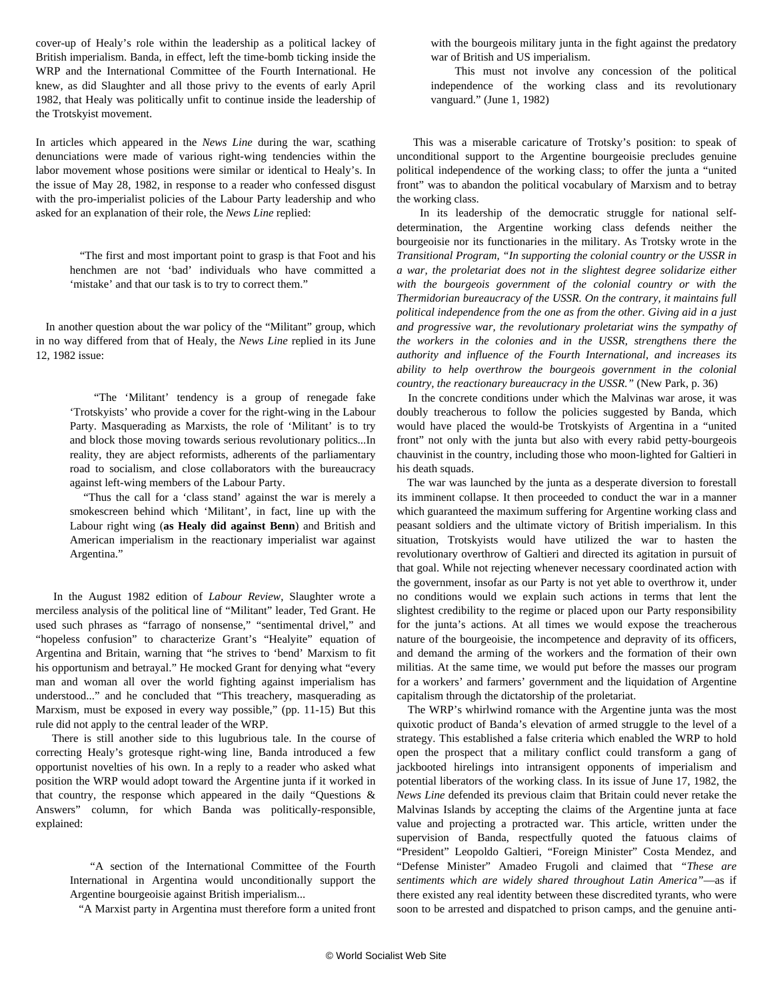cover-up of Healy's role within the leadership as a political lackey of British imperialism. Banda, in effect, left the time-bomb ticking inside the WRP and the International Committee of the Fourth International. He knew, as did Slaughter and all those privy to the events of early April 1982, that Healy was politically unfit to continue inside the leadership of the Trotskyist movement.

In articles which appeared in the *News Line* during the war, scathing denunciations were made of various right-wing tendencies within the labor movement whose positions were similar or identical to Healy's. In the issue of May 28, 1982, in response to a reader who confessed disgust with the pro-imperialist policies of the Labour Party leadership and who asked for an explanation of their role, the *News Line* replied:

 "The first and most important point to grasp is that Foot and his henchmen are not 'bad' individuals who have committed a 'mistake' and that our task is to try to correct them."

 In another question about the war policy of the "Militant" group, which in no way differed from that of Healy, the *News Line* replied in its June 12, 1982 issue:

> "The 'Militant' tendency is a group of renegade fake 'Trotskyists' who provide a cover for the right-wing in the Labour Party. Masquerading as Marxists, the role of 'Militant' is to try and block those moving towards serious revolutionary politics...In reality, they are abject reformists, adherents of the parliamentary road to socialism, and close collaborators with the bureaucracy against left-wing members of the Labour Party.

> "Thus the call for a 'class stand' against the war is merely a smokescreen behind which 'Militant', in fact, line up with the Labour right wing (**as Healy did against Benn**) and British and American imperialism in the reactionary imperialist war against Argentina."

 In the August 1982 edition of *Labour Review*, Slaughter wrote a merciless analysis of the political line of "Militant" leader, Ted Grant. He used such phrases as "farrago of nonsense," "sentimental drivel," and "hopeless confusion" to characterize Grant's "Healyite" equation of Argentina and Britain, warning that "he strives to 'bend' Marxism to fit his opportunism and betrayal." He mocked Grant for denying what "every man and woman all over the world fighting against imperialism has understood..." and he concluded that "This treachery, masquerading as Marxism, must be exposed in every way possible," (pp. 11-15) But this rule did not apply to the central leader of the WRP.

 There is still another side to this lugubrious tale. In the course of correcting Healy's grotesque right-wing line, Banda introduced a few opportunist novelties of his own. In a reply to a reader who asked what position the WRP would adopt toward the Argentine junta if it worked in that country, the response which appeared in the daily "Questions & Answers" column, for which Banda was politically-responsible, explained:

 "A section of the International Committee of the Fourth International in Argentina would unconditionally support the Argentine bourgeoisie against British imperialism...

"A Marxist party in Argentina must therefore form a united front

with the bourgeois military junta in the fight against the predatory war of British and US imperialism.

 This must not involve any concession of the political independence of the working class and its revolutionary vanguard." (June 1, 1982)

 This was a miserable caricature of Trotsky's position: to speak of unconditional support to the Argentine bourgeoisie precludes genuine political independence of the working class; to offer the junta a "united front" was to abandon the political vocabulary of Marxism and to betray the working class.

 In its leadership of the democratic struggle for national selfdetermination, the Argentine working class defends neither the bourgeoisie nor its functionaries in the military. As Trotsky wrote in the *Transitional Program, "In supporting the colonial country or the USSR in a war, the proletariat does not in the slightest degree solidarize either with the bourgeois government of the colonial country or with the Thermidorian bureaucracy of the USSR. On the contrary, it maintains full political independence from the one as from the other. Giving aid in a just and progressive war, the revolutionary proletariat wins the sympathy of the workers in the colonies and in the USSR, strengthens there the authority and influence of the Fourth International, and increases its ability to help overthrow the bourgeois government in the colonial country, the reactionary bureaucracy in the USSR."* (New Park, p. 36)

 In the concrete conditions under which the Malvinas war arose, it was doubly treacherous to follow the policies suggested by Banda, which would have placed the would-be Trotskyists of Argentina in a "united front" not only with the junta but also with every rabid petty-bourgeois chauvinist in the country, including those who moon-lighted for Galtieri in his death squads.

 The war was launched by the junta as a desperate diversion to forestall its imminent collapse. It then proceeded to conduct the war in a manner which guaranteed the maximum suffering for Argentine working class and peasant soldiers and the ultimate victory of British imperialism. In this situation, Trotskyists would have utilized the war to hasten the revolutionary overthrow of Galtieri and directed its agitation in pursuit of that goal. While not rejecting whenever necessary coordinated action with the government, insofar as our Party is not yet able to overthrow it, under no conditions would we explain such actions in terms that lent the slightest credibility to the regime or placed upon our Party responsibility for the junta's actions. At all times we would expose the treacherous nature of the bourgeoisie, the incompetence and depravity of its officers, and demand the arming of the workers and the formation of their own militias. At the same time, we would put before the masses our program for a workers' and farmers' government and the liquidation of Argentine capitalism through the dictatorship of the proletariat.

 The WRP's whirlwind romance with the Argentine junta was the most quixotic product of Banda's elevation of armed struggle to the level of a strategy. This established a false criteria which enabled the WRP to hold open the prospect that a military conflict could transform a gang of jackbooted hirelings into intransigent opponents of imperialism and potential liberators of the working class. In its issue of June 17, 1982, the *News Line* defended its previous claim that Britain could never retake the Malvinas Islands by accepting the claims of the Argentine junta at face value and projecting a protracted war. This article, written under the supervision of Banda, respectfully quoted the fatuous claims of "President" Leopoldo Galtieri, "Foreign Minister" Costa Mendez, and "Defense Minister" Amadeo Frugoli and claimed that *"These are sentiments which are widely shared throughout Latin America"*—as if there existed any real identity between these discredited tyrants, who were soon to be arrested and dispatched to prison camps, and the genuine anti